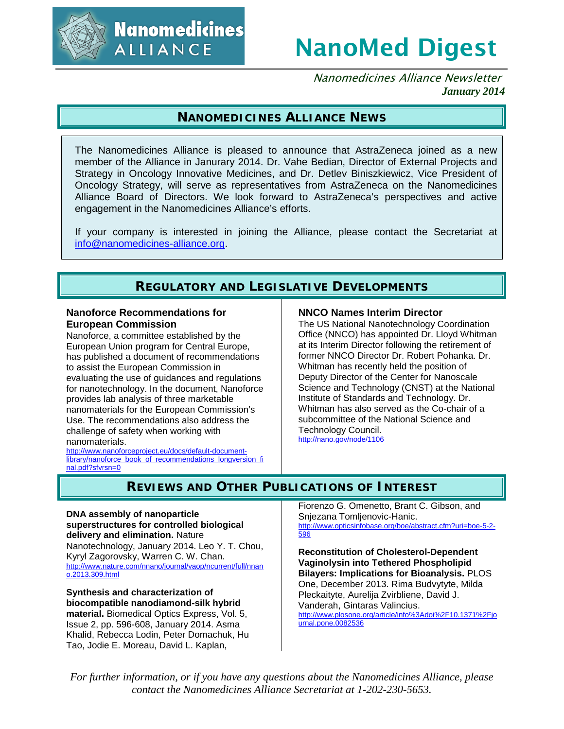

# NanoMed Digest

Nanomedicines Alliance Newsletter *January 2014*

## **NANOMEDICINES ALLIANCE NEWS**

The Nanomedicines Alliance is pleased to announce that AstraZeneca joined as a new member of the Alliance in Janurary 2014. Dr. Vahe Bedian, Director of External Projects and Strategy in Oncology Innovative Medicines, and Dr. Detlev Biniszkiewicz, Vice President of Oncology Strategy, will serve as representatives from AstraZeneca on the Nanomedicines Alliance Board of Directors. We look forward to AstraZeneca's perspectives and active engagement in the Nanomedicines Alliance's efforts.

If your company is interested in joining the Alliance, please contact the Secretariat at [info@nanomedicines-alliance.org.](mailto:info@nanomedicines-alliance.org)

## **REGULATORY AND LEGISLATIVE DEVELOPMENTS**

#### **Nanoforce Recommendations for European Commission**

Nanoforce, a committee established by the European Union program for Central Europe, has published a document of recommendations to assist the European Commission in evaluating the use of guidances and regulations for nanotechnology. In the document, Nanoforce provides lab analysis of three marketable nanomaterials for the European Commission's Use. The recommendations also address the challenge of safety when working with nanomaterials.

[http://www.nanoforceproject.eu/docs/default-document](http://www.nanoforceproject.eu/docs/default-document-library/nanoforce_book_of_recommendations_longversion_final.pdf?sfvrsn=0)[library/nanoforce\\_book\\_of\\_recommendations\\_longversion\\_fi](http://www.nanoforceproject.eu/docs/default-document-library/nanoforce_book_of_recommendations_longversion_final.pdf?sfvrsn=0) [nal.pdf?sfvrsn=0](http://www.nanoforceproject.eu/docs/default-document-library/nanoforce_book_of_recommendations_longversion_final.pdf?sfvrsn=0)

#### **NNCO Names Interim Director**

The US National Nanotechnology Coordination Office (NNCO) has appointed Dr. Lloyd Whitman at its Interim Director following the retirement of former NNCO Director Dr. Robert Pohanka. Dr. Whitman has recently held the position of Deputy Director of the Center for Nanoscale Science and Technology (CNST) at the National Institute of Standards and Technology. Dr. Whitman has also served as the Co-chair of a subcommittee of the National Science and Technology Council. <http://nano.gov/node/1106>

## **REVIEWS AND OTHER PUBLICATIONS OF INTEREST**

#### **DNA assembly of nanoparticle superstructures for controlled biological delivery and elimination.** Nature

Nanotechnology, January 2014. Leo Y. T. Chou, Kyryl Zagorovsky, Warren C. W. Chan. [http://www.nature.com/nnano/journal/vaop/ncurrent/full/nnan](http://www.nature.com/nnano/journal/vaop/ncurrent/full/nnano.2013.309.html) [o.2013.309.html](http://www.nature.com/nnano/journal/vaop/ncurrent/full/nnano.2013.309.html)

#### **Synthesis and characterization of biocompatible nanodiamond-silk hybrid material.** Biomedical Optics Express, Vol. 5, Issue 2, pp. 596-608, January 2014. Asma Khalid, Rebecca Lodin, Peter Domachuk, Hu Tao, Jodie E. Moreau, David L. Kaplan,

Fiorenzo G. Omenetto, Brant C. Gibson, and Snjezana Tomljenovic-Hanic. [http://www.opticsinfobase.org/boe/abstract.cfm?uri=boe-5-2-](http://www.opticsinfobase.org/boe/abstract.cfm?uri=boe-5-2-596) [596](http://www.opticsinfobase.org/boe/abstract.cfm?uri=boe-5-2-596)

**Reconstitution of Cholesterol-Dependent Vaginolysin into Tethered Phospholipid Bilayers: Implications for Bioanalysis.** PLOS One, December 2013. Rima Budvytyte, Milda Pleckaityte, Aurelija Zvirbliene, David J. Vanderah, Gintaras Valincius. [http://www.plosone.org/article/info%3Adoi%2F10.1371%2Fjo](http://www.plosone.org/article/info%3Adoi%2F10.1371%2Fjournal.pone.0082536) [urnal.pone.0082536](http://www.plosone.org/article/info%3Adoi%2F10.1371%2Fjournal.pone.0082536)

*For further information, or if you have any questions about the Nanomedicines Alliance, please contact the Nanomedicines Alliance Secretariat at 1-202-230-5653.*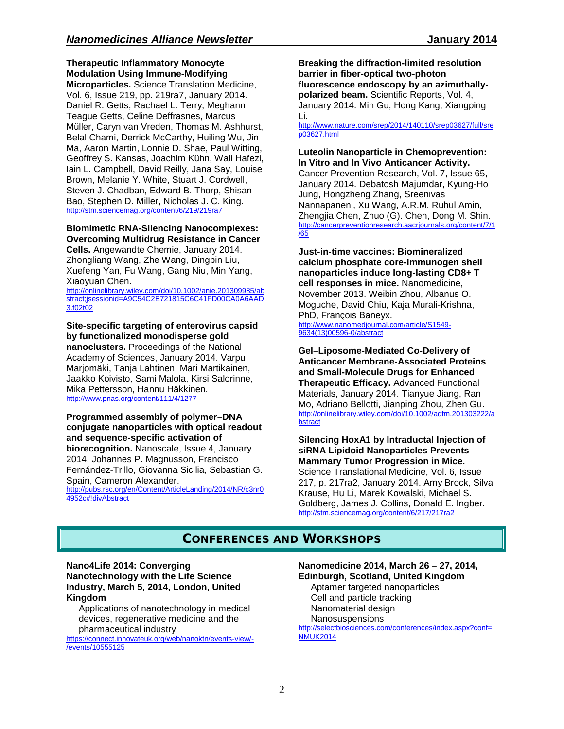**Therapeutic Inflammatory Monocyte Modulation Using Immune-Modifying** 

**Microparticles.** Science Translation Medicine, Vol. 6, Issue 219, pp. 219ra7, January 2014. Daniel R. Getts, Rachael L. Terry, Meghann Teague Getts, Celine Deffrasnes, Marcus Müller, Caryn van Vreden, Thomas M. Ashhurst, Belal Chami, Derrick McCarthy, Huiling Wu, Jin Ma, Aaron Martin, Lonnie D. Shae, Paul Witting, Geoffrey S. Kansas, Joachim Kühn, Wali Hafezi, Iain L. Campbell, David Reilly, Jana Say, Louise Brown, Melanie Y. White, Stuart J. Cordwell, Steven J. Chadban, Edward B. Thorp, Shisan Bao, Stephen D. Miller, Nicholas J. C. King. <http://stm.sciencemag.org/content/6/219/219ra7>

# **Biomimetic RNA-Silencing Nanocomplexes:**

**Overcoming Multidrug Resistance in Cancer Cells.** Angewandte Chemie, January 2014. Zhongliang Wang, Zhe Wang, Dingbin Liu, Xuefeng Yan, Fu Wang, Gang Niu, Min Yang, Xiaoyuan Chen.

[http://onlinelibrary.wiley.com/doi/10.1002/anie.201309985/ab](http://onlinelibrary.wiley.com/doi/10.1002/anie.201309985/abstract;jsessionid=A9C54C2E721815C6C41FD00CA0A6AAD3.f02t02) [stract;jsessionid=A9C54C2E721815C6C41FD00CA0A6AAD](http://onlinelibrary.wiley.com/doi/10.1002/anie.201309985/abstract;jsessionid=A9C54C2E721815C6C41FD00CA0A6AAD3.f02t02) [3.f02t02](http://onlinelibrary.wiley.com/doi/10.1002/anie.201309985/abstract;jsessionid=A9C54C2E721815C6C41FD00CA0A6AAD3.f02t02)

#### **Site-specific targeting of enterovirus capsid by functionalized monodisperse gold**

**nanoclusters.** Proceedings of the National Academy of Sciences, January 2014. Varpu Marjomäki, Tanja Lahtinen, Mari Martikainen, Jaakko Koivisto, Sami Malola, Kirsi Salorinne, Mika Pettersson, Hannu Häkkinen. <http://www.pnas.org/content/111/4/1277>

#### **Programmed assembly of polymer–DNA conjugate nanoparticles with optical readout and sequence-specific activation of biorecognition.** Nanoscale, Issue 4, January

2014. Johannes P. Magnusson, Francisco Fernández-Trillo, Giovanna Sicilia, Sebastian G. Spain, Cameron Alexander.

[http://pubs.rsc.org/en/Content/ArticleLanding/2014/NR/c3nr0](http://pubs.rsc.org/en/Content/ArticleLanding/2014/NR/c3nr04952c%23!divAbstract) [4952c#!divAbstract](http://pubs.rsc.org/en/Content/ArticleLanding/2014/NR/c3nr04952c%23!divAbstract)

**Breaking the diffraction-limited resolution barrier in fiber-optical two-photon fluorescence endoscopy by an azimuthallypolarized beam.** Scientific Reports, Vol. 4, January 2014. Min Gu, Hong Kang, Xiangping Li.

[http://www.nature.com/srep/2014/140110/srep03627/full/sre](http://www.nature.com/srep/2014/140110/srep03627/full/srep03627.html) [p03627.html](http://www.nature.com/srep/2014/140110/srep03627/full/srep03627.html)

#### **Luteolin Nanoparticle in Chemoprevention: In Vitro and In Vivo Anticancer Activity.**

Cancer Prevention Research, Vol. 7, Issue 65, January 2014. Debatosh Majumdar, Kyung-Ho Jung, Hongzheng Zhang, Sreenivas Nannapaneni, Xu Wang, A.R.M. Ruhul Amin, Zhengjia Chen, Zhuo (G). Chen, Dong M. Shin. [http://cancerpreventionresearch.aacrjournals.org/content/7/1](http://cancerpreventionresearch.aacrjournals.org/content/7/1/65)  $\overline{765}$ 

**Just-in-time vaccines: Biomineralized calcium phosphate core-immunogen shell nanoparticles induce long-lasting CD8+ T cell responses in mice.** Nanomedicine, November 2013. Weibin Zhou, Albanus O. Moguche, David Chiu, Kaja Murali-Krishna, PhD, François Baneyx.

[http://www.nanomedjournal.com/article/S1549-](http://www.nanomedjournal.com/article/S1549-9634(13)00596-0/abstract) [9634\(13\)00596-0/abstract](http://www.nanomedjournal.com/article/S1549-9634(13)00596-0/abstract)

**Gel–Liposome-Mediated Co-Delivery of Anticancer Membrane-Associated Proteins and Small-Molecule Drugs for Enhanced Therapeutic Efficacy.** Advanced Functional Materials, January 2014. Tianyue Jiang, Ran Mo, Adriano Bellotti, Jianping Zhou, Zhen Gu. [http://onlinelibrary.wiley.com/doi/10.1002/adfm.201303222/a](http://onlinelibrary.wiley.com/doi/10.1002/adfm.201303222/abstract) [bstract](http://onlinelibrary.wiley.com/doi/10.1002/adfm.201303222/abstract)

**Silencing HoxA1 by Intraductal Injection of siRNA Lipidoid Nanoparticles Prevents Mammary Tumor Progression in Mice.** Science Translational Medicine, Vol. 6, Issue 217, p. 217ra2, January 2014. Amy Brock, Silva Krause, Hu Li, Marek Kowalski, Michael S. Goldberg, James J. Collins, Donald E. Ingber. <http://stm.sciencemag.org/content/6/217/217ra2>

## **CONFERENCES AND WORKSHOPS**

#### **Nano4Life 2014: Converging Nanotechnology with the Life Science Industry, March 5, 2014, London, United Kingdom**

Applications of nanotechnology in medical devices, regenerative medicine and the pharmaceutical industry

[https://connect.innovateuk.org/web/nanoktn/events-view/-](https://connect.innovateuk.org/web/nanoktn/events-view/-/events/10555125) [/events/10555125](https://connect.innovateuk.org/web/nanoktn/events-view/-/events/10555125)

**Nanomedicine 2014, March 26 – 27, 2014, Edinburgh, Scotland, United Kingdom** Aptamer targeted nanoparticles Cell and particle tracking Nanomaterial design

Nanosuspensions

[http://selectbiosciences.com/conferences/index.aspx?conf=](http://selectbiosciences.com/conferences/index.aspx?conf=NMUK2014) [NMUK2014](http://selectbiosciences.com/conferences/index.aspx?conf=NMUK2014)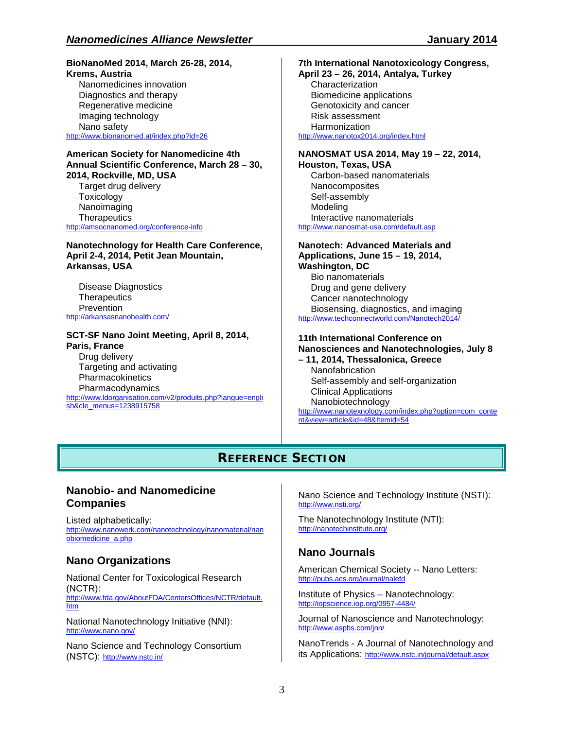#### **BioNanoMed 2014, March 26-28, 2014, Krems, Austria**

Nanomedicines innovation Diagnostics and therapy Regenerative medicine Imaging technology Nano safety <http://www.bionanomed.at/index.php?id=26>

#### **American Society for Nanomedicine 4th Annual Scientific Conference, March 28 – 30, 2014, Rockville, MD, USA**

Target drug delivery **Toxicology** Nanoimaging **Therapeutics** <http://amsocnanomed.org/conference-info>

**Nanotechnology for Health Care Conference, April 2-4, 2014, Petit Jean Mountain, Arkansas, USA**

Disease Diagnostics **Therapeutics** Prevention <http://arkansasnanohealth.com/>

# **SCT-SF Nano Joint Meeting, April 8, 2014,**

**Paris, France** Drug delivery Targeting and activating **Pharmacokinetics** Pharmacodynamics [http://www.ldorganisation.com/v2/produits.php?langue=engli](http://www.ldorganisation.com/v2/produits.php?langue=english&cle_menus=1238915758) [sh&cle\\_menus=1238915758](http://www.ldorganisation.com/v2/produits.php?langue=english&cle_menus=1238915758)

## **7th International Nanotoxicology Congress,**

**April 23 – 26, 2014, Antalya, Turkey** Characterization Biomedicine applications Genotoxicity and cancer Risk assessment **Harmonization** <http://www.nanotox2014.org/index.html>

#### **NANOSMAT USA 2014, May 19 – 22, 2014, Houston, Texas, USA**

Carbon-based nanomaterials Nanocomposites Self-assembly Modeling Interactive nanomaterials <http://www.nanosmat-usa.com/default.asp>

#### **Nanotech: Advanced Materials and Applications, June 15 – 19, 2014,**

**Washington, DC** Bio nanomaterials Drug and gene delivery Cancer nanotechnology Biosensing, diagnostics, and imaging <http://www.techconnectworld.com/Nanotech2014/>

#### **11th International Conference on Nanosciences and Nanotechnologies, July 8**

**– 11, 2014, Thessalonica, Greece** Nanofabrication Self-assembly and self-organization Clinical Applications Nanobiotechnology [http://www.nanotexnology.com/index.php?option=com\\_conte](http://www.nanotexnology.com/index.php?option=com_content&view=article&id=48&Itemid=54) [nt&view=article&id=48&Itemid=54](http://www.nanotexnology.com/index.php?option=com_content&view=article&id=48&Itemid=54)

# **REFERENCE SECTION**

### **Nanobio- and Nanomedicine Companies**

Listed alphabetically: [http://www.nanowerk.com/nanotechnology/nanomaterial/nan](http://www.nanowerk.com/nanotechnology/nanomaterial/nanobiomedicine_a.php) [obiomedicine\\_a.php](http://www.nanowerk.com/nanotechnology/nanomaterial/nanobiomedicine_a.php)

## **Nano Organizations**

National Center for Toxicological Research (NCTR): [http://www.fda.gov/AboutFDA/CentersOffices/NCTR/default.](http://www.fda.gov/AboutFDA/CentersOffices/NCTR/default.htm) [htm](http://www.fda.gov/AboutFDA/CentersOffices/NCTR/default.htm)

National Nanotechnology Initiative (NNI): <http://www.nano.gov/>

Nano Science and Technology Consortium (NSTC): <http://www.nstc.in/>

Nano Science and Technology Institute (NSTI): <http://www.nsti.org/>

The Nanotechnology Institute (NTI): <http://nanotechinstitute.org/>

## **Nano Journals**

American Chemical Society -- Nano Letters: <http://pubs.acs.org/journal/nalefd>

Institute of Physics – Nanotechnology: <http://iopscience.iop.org/0957-4484/>

Journal of Nanoscience and Nanotechnology: <http://www.aspbs.com/jnn/>

NanoTrends - A Journal of Nanotechnology and its Applications: <http://www.nstc.in/journal/default.aspx>